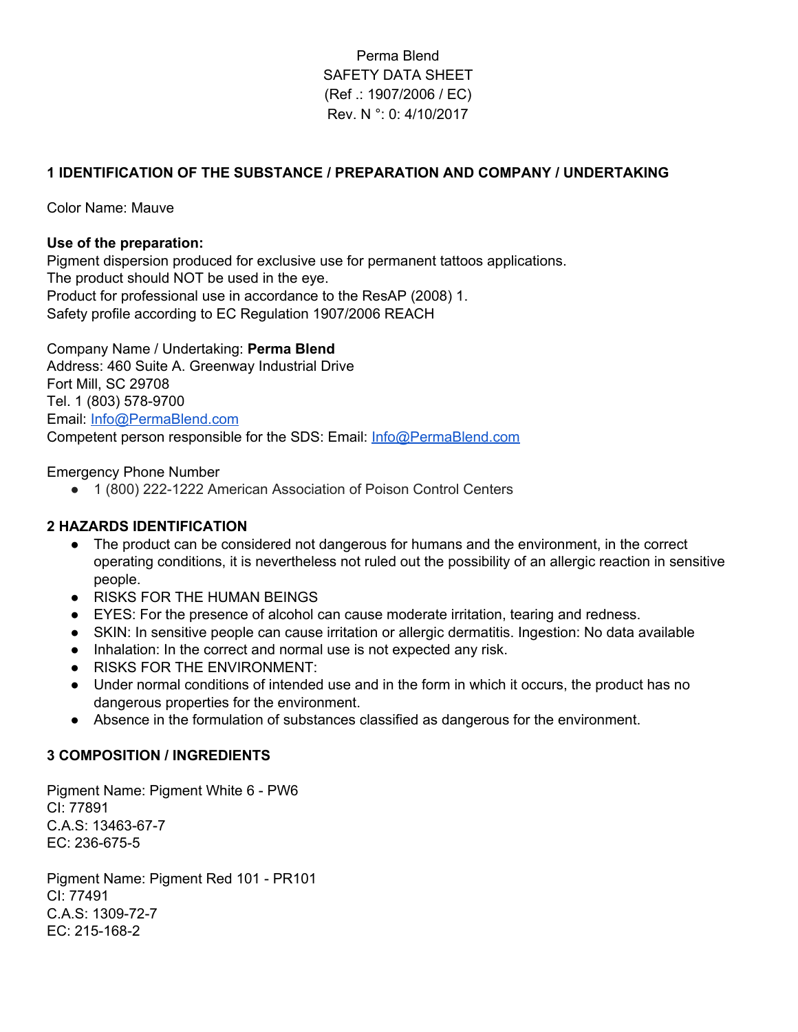# Perma Blend SAFETY DATA SHEET (Ref .: 1907/2006 / EC) Rev. N °: 0: 4/10/2017

## **1 IDENTIFICATION OF THE SUBSTANCE / PREPARATION AND COMPANY / UNDERTAKING**

Color Name: Mauve

#### **Use of the preparation:**

Pigment dispersion produced for exclusive use for permanent tattoos applications. The product should NOT be used in the eye. Product for professional use in accordance to the ResAP (2008) 1. Safety profile according to EC Regulation 1907/2006 REACH

Company Name / Undertaking: **Perma Blend** Address: 460 Suite A. Greenway Industrial Drive Fort Mill, SC 29708 Tel. 1 (803) 578-9700 Email: [Info@PermaBlend.com](mailto:Info@PermaBlend.com) Competent person responsible for the SDS: Email: [Info@PermaBlend.com](mailto:Info@PermaBlend.com)

#### Emergency Phone Number

● 1 (800) 222-1222 American Association of Poison Control Centers

### **2 HAZARDS IDENTIFICATION**

- The product can be considered not dangerous for humans and the environment, in the correct operating conditions, it is nevertheless not ruled out the possibility of an allergic reaction in sensitive people.
- RISKS FOR THE HUMAN BEINGS
- EYES: For the presence of alcohol can cause moderate irritation, tearing and redness.
- SKIN: In sensitive people can cause irritation or allergic dermatitis. Ingestion: No data available
- Inhalation: In the correct and normal use is not expected any risk.
- RISKS FOR THE ENVIRONMENT:
- Under normal conditions of intended use and in the form in which it occurs, the product has no dangerous properties for the environment.
- Absence in the formulation of substances classified as dangerous for the environment.

#### **3 COMPOSITION / INGREDIENTS**

Pigment Name: Pigment White 6 - PW6 CI: 77891 C.A.S: 13463-67-7 EC: 236-675-5

Pigment Name: Pigment Red 101 - PR101 CI: 77491 C.A.S: 1309-72-7 EC: 215-168-2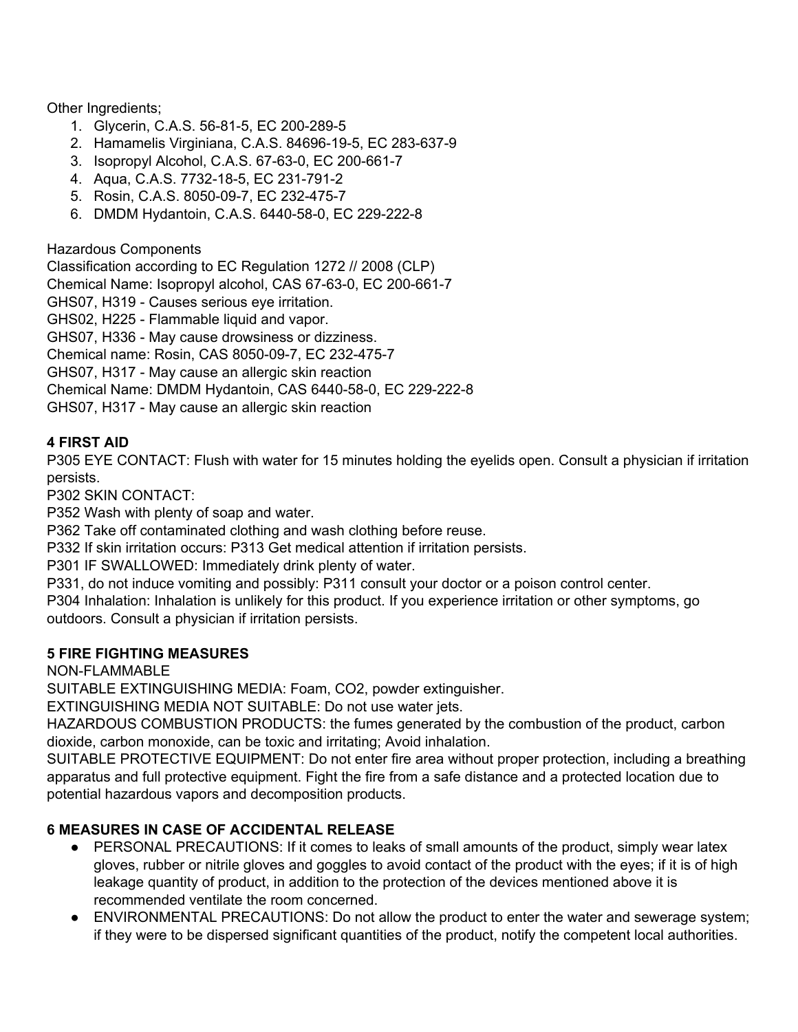Other Ingredients;

- 1. Glycerin, C.A.S. 56-81-5, EC 200-289-5
- 2. Hamamelis Virginiana, C.A.S. 84696-19-5, EC 283-637-9
- 3. Isopropyl Alcohol, C.A.S. 67-63-0, EC 200-661-7
- 4. Aqua, C.A.S. 7732-18-5, EC 231-791-2
- 5. Rosin, C.A.S. 8050-09-7, EC 232-475-7
- 6. DMDM Hydantoin, C.A.S. 6440-58-0, EC 229-222-8

Hazardous Components

Classification according to EC Regulation 1272 // 2008 (CLP) Chemical Name: Isopropyl alcohol, CAS 67-63-0, EC 200-661-7 GHS07, H319 - Causes serious eye irritation. GHS02, H225 - Flammable liquid and vapor. GHS07, H336 - May cause drowsiness or dizziness. Chemical name: Rosin, CAS 8050-09-7, EC 232-475-7 GHS07, H317 - May cause an allergic skin reaction Chemical Name: DMDM Hydantoin, CAS 6440-58-0, EC 229-222-8 GHS07, H317 - May cause an allergic skin reaction

# **4 FIRST AID**

P305 EYE CONTACT: Flush with water for 15 minutes holding the eyelids open. Consult a physician if irritation persists.

P302 SKIN CONTACT:

P352 Wash with plenty of soap and water.

P362 Take off contaminated clothing and wash clothing before reuse.

P332 If skin irritation occurs: P313 Get medical attention if irritation persists.

P301 IF SWALLOWED: Immediately drink plenty of water.

P331, do not induce vomiting and possibly: P311 consult your doctor or a poison control center.

P304 Inhalation: Inhalation is unlikely for this product. If you experience irritation or other symptoms, go outdoors. Consult a physician if irritation persists.

## **5 FIRE FIGHTING MEASURES**

NON-FLAMMABLE

SUITABLE EXTINGUISHING MEDIA: Foam, CO2, powder extinguisher.

EXTINGUISHING MEDIA NOT SUITABLE: Do not use water jets.

HAZARDOUS COMBUSTION PRODUCTS: the fumes generated by the combustion of the product, carbon dioxide, carbon monoxide, can be toxic and irritating; Avoid inhalation.

SUITABLE PROTECTIVE EQUIPMENT: Do not enter fire area without proper protection, including a breathing apparatus and full protective equipment. Fight the fire from a safe distance and a protected location due to potential hazardous vapors and decomposition products.

# **6 MEASURES IN CASE OF ACCIDENTAL RELEASE**

- PERSONAL PRECAUTIONS: If it comes to leaks of small amounts of the product, simply wear latex gloves, rubber or nitrile gloves and goggles to avoid contact of the product with the eyes; if it is of high leakage quantity of product, in addition to the protection of the devices mentioned above it is recommended ventilate the room concerned.
- ENVIRONMENTAL PRECAUTIONS: Do not allow the product to enter the water and sewerage system; if they were to be dispersed significant quantities of the product, notify the competent local authorities.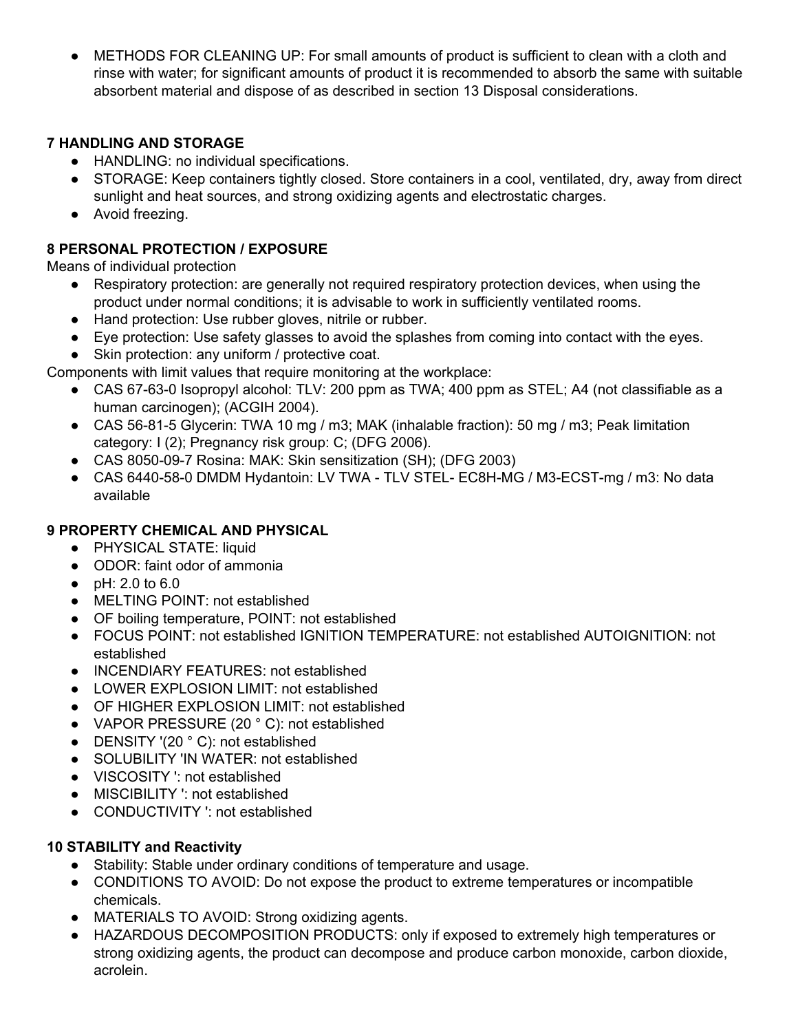● METHODS FOR CLEANING UP: For small amounts of product is sufficient to clean with a cloth and rinse with water; for significant amounts of product it is recommended to absorb the same with suitable absorbent material and dispose of as described in section 13 Disposal considerations.

# **7 HANDLING AND STORAGE**

- HANDLING: no individual specifications.
- STORAGE: Keep containers tightly closed. Store containers in a cool, ventilated, dry, away from direct sunlight and heat sources, and strong oxidizing agents and electrostatic charges.
- Avoid freezing.

# **8 PERSONAL PROTECTION / EXPOSURE**

Means of individual protection

- Respiratory protection: are generally not required respiratory protection devices, when using the product under normal conditions; it is advisable to work in sufficiently ventilated rooms.
- Hand protection: Use rubber gloves, nitrile or rubber.
- Eye protection: Use safety glasses to avoid the splashes from coming into contact with the eyes.
- Skin protection: any uniform / protective coat.

Components with limit values that require monitoring at the workplace:

- CAS 67-63-0 Isopropyl alcohol: TLV: 200 ppm as TWA; 400 ppm as STEL; A4 (not classifiable as a human carcinogen); (ACGIH 2004).
- CAS 56-81-5 Glycerin: TWA 10 mg / m3; MAK (inhalable fraction): 50 mg / m3; Peak limitation category: I (2); Pregnancy risk group: C; (DFG 2006).
- CAS 8050-09-7 Rosina: MAK: Skin sensitization (SH); (DFG 2003)
- CAS 6440-58-0 DMDM Hydantoin: LV TWA TLV STEL- EC8H-MG / M3-ECST-mg / m3: No data available

# **9 PROPERTY CHEMICAL AND PHYSICAL**

- PHYSICAL STATE: liquid
- ODOR: faint odor of ammonia
- pH: 2.0 to 6.0
- MELTING POINT: not established
- OF boiling temperature, POINT: not established
- FOCUS POINT: not established IGNITION TEMPERATURE: not established AUTOIGNITION: not established
- INCENDIARY FEATURES: not established
- LOWER EXPLOSION LIMIT: not established
- OF HIGHER EXPLOSION LIMIT: not established
- VAPOR PRESSURE (20 °C): not established
- DENSITY '(20 °C): not established
- SOLUBILITY 'IN WATER: not established
- VISCOSITY ': not established
- MISCIBILITY ': not established
- CONDUCTIVITY ': not established

# **10 STABILITY and Reactivity**

- Stability: Stable under ordinary conditions of temperature and usage.
- CONDITIONS TO AVOID: Do not expose the product to extreme temperatures or incompatible chemicals.
- MATERIALS TO AVOID: Strong oxidizing agents.
- HAZARDOUS DECOMPOSITION PRODUCTS: only if exposed to extremely high temperatures or strong oxidizing agents, the product can decompose and produce carbon monoxide, carbon dioxide, acrolein.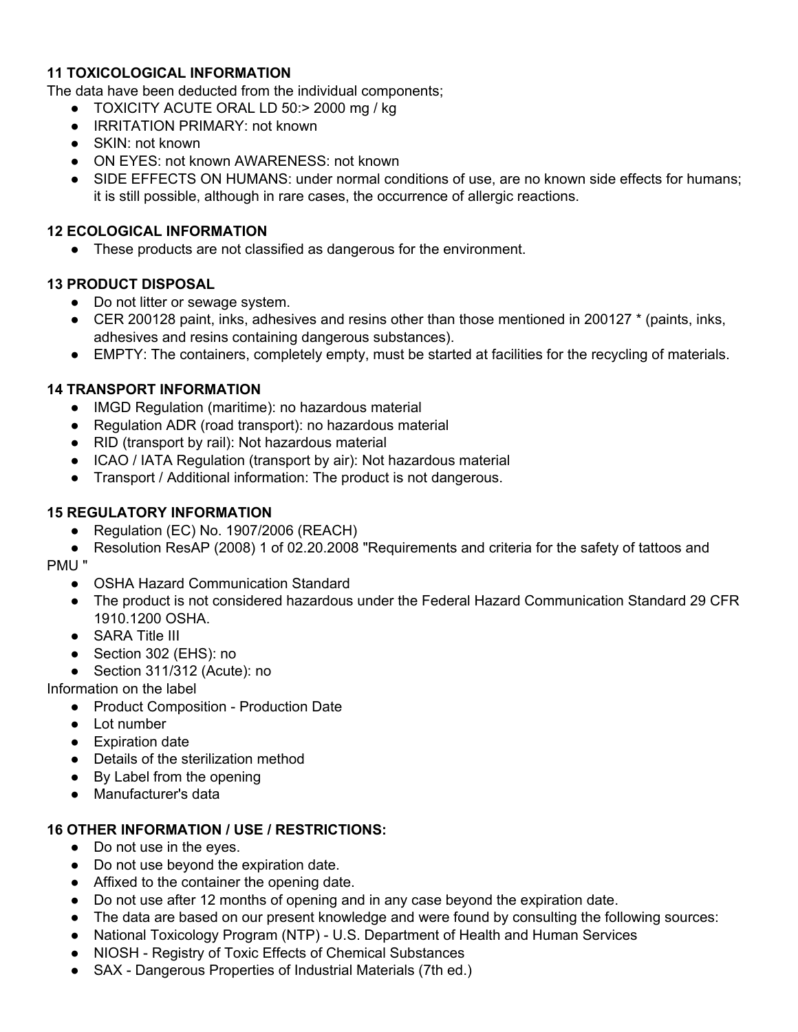## **11 TOXICOLOGICAL INFORMATION**

The data have been deducted from the individual components;

- TOXICITY ACUTE ORAL LD 50:> 2000 mg / kg
- IRRITATION PRIMARY: not known
- SKIN: not known
- ON EYES: not known AWARENESS: not known
- SIDE EFFECTS ON HUMANS: under normal conditions of use, are no known side effects for humans; it is still possible, although in rare cases, the occurrence of allergic reactions.

## **12 ECOLOGICAL INFORMATION**

● These products are not classified as dangerous for the environment.

### **13 PRODUCT DISPOSAL**

- Do not litter or sewage system.
- CER 200128 paint, inks, adhesives and resins other than those mentioned in 200127 <sup>\*</sup> (paints, inks, adhesives and resins containing dangerous substances).
- EMPTY: The containers, completely empty, must be started at facilities for the recycling of materials.

## **14 TRANSPORT INFORMATION**

- IMGD Regulation (maritime): no hazardous material
- Regulation ADR (road transport): no hazardous material
- RID (transport by rail): Not hazardous material
- ICAO / IATA Regulation (transport by air): Not hazardous material
- Transport / Additional information: The product is not dangerous.

## **15 REGULATORY INFORMATION**

● Regulation (EC) No. 1907/2006 (REACH)

● Resolution ResAP (2008) 1 of 02.20.2008 "Requirements and criteria for the safety of tattoos and PMU "

- OSHA Hazard Communication Standard
- The product is not considered hazardous under the Federal Hazard Communication Standard 29 CFR 1910.1200 OSHA.
- SARA Title III
- Section 302 (EHS): no
- Section 311/312 (Acute): no

Information on the label

- Product Composition Production Date
- Lot number
- Expiration date
- Details of the sterilization method
- By Label from the opening
- Manufacturer's data

### **16 OTHER INFORMATION / USE / RESTRICTIONS:**

- Do not use in the eves.
- Do not use beyond the expiration date.
- Affixed to the container the opening date.
- Do not use after 12 months of opening and in any case beyond the expiration date.
- The data are based on our present knowledge and were found by consulting the following sources:
- National Toxicology Program (NTP) U.S. Department of Health and Human Services
- NIOSH Registry of Toxic Effects of Chemical Substances
- SAX Dangerous Properties of Industrial Materials (7th ed.)